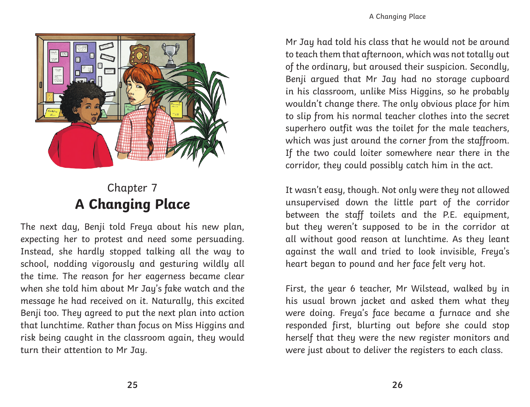

## Chapter 7 **A Changing Place**

The next day, Benji told Freya about his new plan, expecting her to protest and need some persuading. Instead, she hardly stopped talking all the way to school, nodding vigorously and gesturing wildly all the time. The reason for her eagerness became clear when she told him about Mr Jay's fake watch and the message he had received on it. Naturally, this excited Benji too. They agreed to put the next plan into action that lunchtime. Rather than focus on Miss Higgins and risk being caught in the classroom again, they would turn their attention to Mr Jay.

Mr Jay had told his class that he would not be around to teach them that afternoon, which was not totally out of the ordinary, but aroused their suspicion. Secondly, Benji argued that Mr Jay had no storage cupboard in his classroom, unlike Miss Higgins, so he probably wouldn't change there. The only obvious place for him to slip from his normal teacher clothes into the secret superhero outfit was the toilet for the male teachers, which was just around the corner from the staffroom. If the two could loiter somewhere near there in the corridor, they could possibly catch him in the act.

It wasn't easy, though. Not only were they not allowed unsupervised down the little part of the corridor between the staff toilets and the P.E. equipment, but they weren't supposed to be in the corridor at all without good reason at lunchtime. As they leant against the wall and tried to look invisible, Freya's heart began to pound and her face felt very hot.

First, the year 6 teacher, Mr Wilstead, walked by in his usual brown jacket and asked them what they were doing. Freya's face became a furnace and she responded first, blurting out before she could stop herself that they were the new register monitors and were just about to deliver the registers to each class.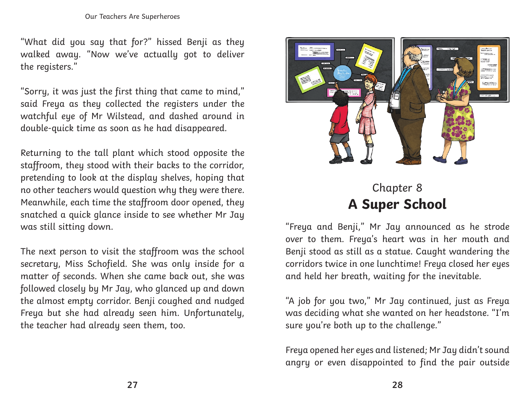"What did you say that for?" hissed Benji as they walked away. "Now we've actually got to deliver the registers."

"Sorry, it was just the first thing that came to mind," said Freya as they collected the registers under the watchful eye of Mr Wilstead, and dashed around in double-quick time as soon as he had disappeared.

Returning to the tall plant which stood opposite the staffroom, they stood with their backs to the corridor, pretending to look at the display shelves, hoping that no other teachers would question why they were there. Meanwhile, each time the staffroom door opened, they snatched a quick glance inside to see whether Mr Jay was still sitting down.

The next person to visit the staffroom was the school secretary, Miss Schofield. She was only inside for a matter of seconds. When she came back out, she was followed closely by Mr Jay, who glanced up and down the almost empty corridor. Benji coughed and nudged Freya but she had already seen him. Unfortunately, the teacher had already seen them, too.



## Chapter 8 **A Super School**

"Freya and Benji," Mr Jay announced as he strode over to them. Freya's heart was in her mouth and Benji stood as still as a statue. Caught wandering the corridors twice in one lunchtime! Freya closed her eyes and held her breath, waiting for the inevitable.

"A job for you two," Mr Jay continued, just as Freya was deciding what she wanted on her headstone. "I'm sure you're both up to the challenge."

Freya opened her eyes and listened; Mr Jay didn't sound angry or even disappointed to find the pair outside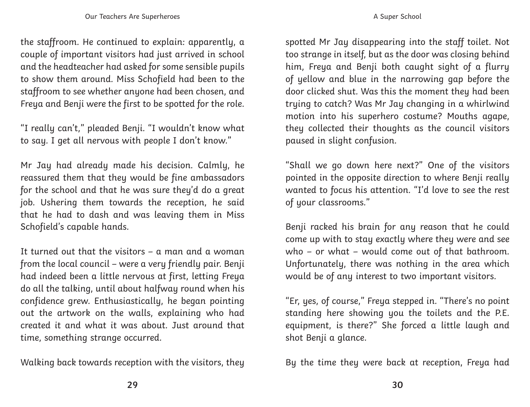the staffroom. He continued to explain: apparently, a couple of important visitors had just arrived in school and the headteacher had asked for some sensible pupils to show them around. Miss Schofield had been to the staffroom to see whether anyone had been chosen, and Freya and Benji were the first to be spotted for the role.

"I really can't," pleaded Benji. "I wouldn't know what to say. I get all nervous with people I don't know."

Mr Jay had already made his decision. Calmly, he reassured them that they would be fine ambassadors for the school and that he was sure they'd do a great job. Ushering them towards the reception, he said that he had to dash and was leaving them in Miss Schofield's capable hands.

It turned out that the visitors – a man and a woman from the local council – were a very friendly pair. Benji had indeed been a little nervous at first, letting Freya do all the talking, until about halfway round when his confidence grew. Enthusiastically, he began pointing out the artwork on the walls, explaining who had created it and what it was about. Just around that time, something strange occurred.

Walking back towards reception with the visitors, they

spotted Mr Jay disappearing into the staff toilet. Not too strange in itself, but as the door was closing behind him, Freya and Benji both caught sight of a flurry of yellow and blue in the narrowing gap before the door clicked shut. Was this the moment they had been trying to catch? Was Mr Jay changing in a whirlwind motion into his superhero costume? Mouths agape, they collected their thoughts as the council visitors paused in slight confusion.

"Shall we go down here next?" One of the visitors pointed in the opposite direction to where Benji really wanted to focus his attention. "I'd love to see the rest of your classrooms."

Benji racked his brain for any reason that he could come up with to stay exactly where they were and see who – or what – would come out of that bathroom. Unfortunately, there was nothing in the area which would be of any interest to two important visitors.

"Er, yes, of course," Freya stepped in. "There's no point standing here showing you the toilets and the P.E. equipment, is there?" She forced a little laugh and shot Benji a glance.

By the time they were back at reception, Freya had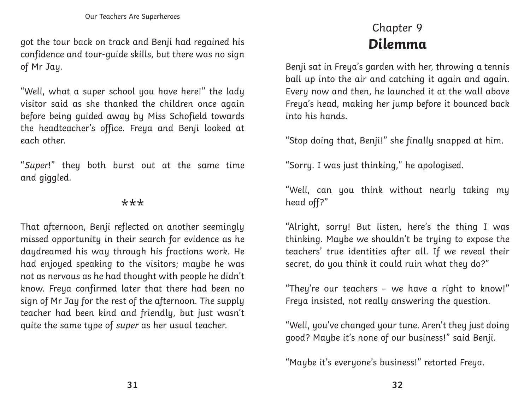got the tour back on track and Benji had regained his confidence and tour-guide skills, but there was no sign of Mr Jay.

"Well, what a super school you have here!" the lady visitor said as she thanked the children once again before being guided away by Miss Schofield towards the headteacher's office. Freya and Benji looked at each other.

"Super!" they both burst out at the same time and giggled.

## \*\*\*

That afternoon, Benji reflected on another seemingly missed opportunity in their search for evidence as he daydreamed his way through his fractions work. He had enjoyed speaking to the visitors; maybe he was not as nervous as he had thought with people he didn't know. Freya confirmed later that there had been no sign of Mr Jay for the rest of the afternoon. The supply teacher had been kind and friendly, but just wasn't quite the same type of super as her usual teacher.

## Chapter 9 **Dilemma**

Benji sat in Freya's garden with her, throwing a tennis ball up into the air and catching it again and again. Every now and then, he launched it at the wall above Freya's head, making her jump before it bounced back into his hands.

"Stop doing that, Benji!" she finally snapped at him.

"Sorry. I was just thinking," he apologised.

"Well, can you think without nearly taking my head off?"

"Alright, sorry! But listen, here's the thing I was thinking. Maybe we shouldn't be trying to expose the teachers' true identities after all. If we reveal their secret, do you think it could ruin what they do?"

"They're our teachers – we have a right to know!" Freya insisted, not really answering the question.

"Well, you've changed your tune. Aren't they just doing good? Maybe it's none of our business!" said Benji.

"Maybe it's everyone's business!" retorted Freya.